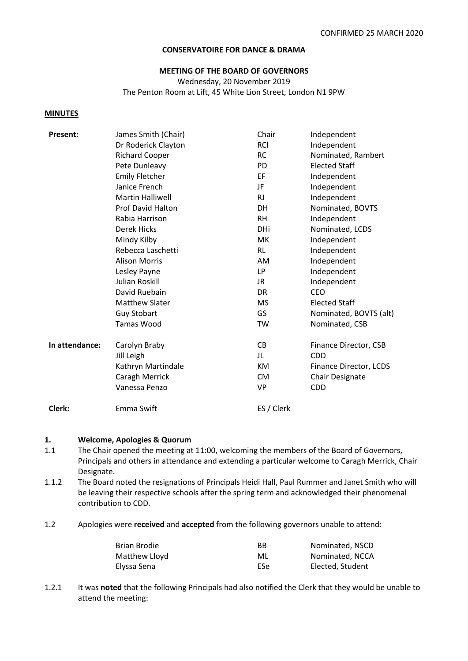#### **CONSERVATOIRE FOR DANCE & DRAMA**

#### **MEETING OF THE BOARD OF GOVERNORS**

Wednesday, 20 November 2019 The Penton Room at Lift, 45 White Lion Street, London N1 9PW

#### **MINUTES**

| Present:       | James Smith (Chair)     | Chair      | Independent            |
|----------------|-------------------------|------------|------------------------|
|                | Dr Roderick Clayton     | <b>RCI</b> | Independent            |
|                | <b>Richard Cooper</b>   | <b>RC</b>  | Nominated, Rambert     |
|                | Pete Dunleavy           | <b>PD</b>  | <b>Elected Staff</b>   |
|                | <b>Emily Fletcher</b>   | EF         | Independent            |
|                | Janice French           | JF         | Independent            |
|                | <b>Martin Halliwell</b> | <b>RJ</b>  | Independent            |
|                | Prof David Halton       | DH         | Nominated, BOVTS       |
|                | Rabia Harrison          | <b>RH</b>  | Independent            |
|                | <b>Derek Hicks</b>      | <b>DHi</b> | Nominated, LCDS        |
|                | Mindy Kilby             | МK         | Independent            |
|                | Rebecca Laschetti       | <b>RL</b>  | Independent            |
|                | <b>Alison Morris</b>    | AM         | Independent            |
|                | Lesley Payne            | LP.        | Independent            |
|                | Julian Roskill          | JR.        | Independent            |
|                | David Ruebain           | DR         | <b>CEO</b>             |
|                | <b>Matthew Slater</b>   | <b>MS</b>  | <b>Elected Staff</b>   |
|                | <b>Guy Stobart</b>      | GS         | Nominated, BOVTS (alt) |
|                | Tamas Wood              | TW         | Nominated, CSB         |
| In attendance: | Carolyn Braby           | CB         | Finance Director, CSB  |
|                | Jill Leigh              | JL         | <b>CDD</b>             |
|                | Kathryn Martindale      | KM         | Finance Director, LCDS |
|                | Caragh Merrick          | <b>CM</b>  | Chair Designate        |
|                | Vanessa Penzo           | <b>VP</b>  | <b>CDD</b>             |
| Clerk:         | Emma Swift              | ES / Clerk |                        |

#### **1. Welcome, Apologies & Quorum**

- 1.1 The Chair opened the meeting at 11:00, welcoming the members of the Board of Governors, Principals and others in attendance and extending a particular welcome to Caragh Merrick, Chair Designate.
- 1.1.2 The Board noted the resignations of Principals Heidi Hall, Paul Rummer and Janet Smith who will be leaving their respective schools after the spring term and acknowledged their phenomenal contribution to CDD.
- 1.2 Apologies were **received** and **accepted** from the following governors unable to attend:

| Brian Brodie  | <b>BB</b> | Nominated. NSCD  |
|---------------|-----------|------------------|
| Matthew Lloyd | ML        | Nominated, NCCA  |
| Elyssa Sena   | ESe:      | Elected. Student |

1.2.1 It was **noted** that the following Principals had also notified the Clerk that they would be unable to attend the meeting: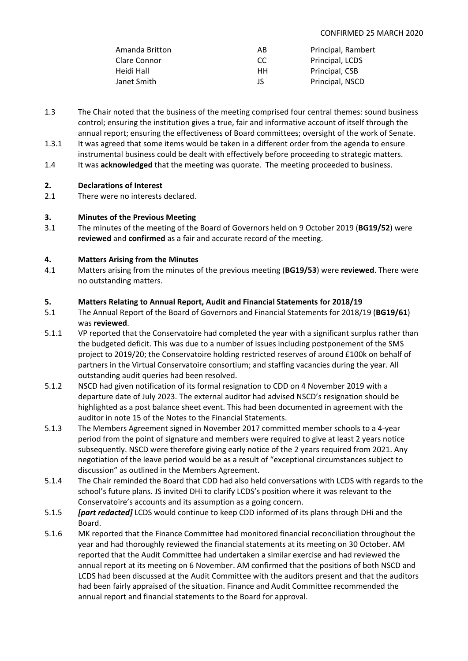| Amanda Britton | ΑB | Principal, Rambert |
|----------------|----|--------------------|
| Clare Connor   | CC | Principal, LCDS    |
| Heidi Hall     | HН | Principal, CSB     |
| Janet Smith    | IS | Principal, NSCD    |

- 1.3 The Chair noted that the business of the meeting comprised four central themes: sound business control; ensuring the institution gives a true, fair and informative account of itself through the annual report; ensuring the effectiveness of Board committees; oversight of the work of Senate.
- 1.3.1 It was agreed that some items would be taken in a different order from the agenda to ensure instrumental business could be dealt with effectively before proceeding to strategic matters.
- 1.4 It was **acknowledged** that the meeting was quorate. The meeting proceeded to business.

#### **2. Declarations of Interest**

2.1 There were no interests declared.

## **3. Minutes of the Previous Meeting**

3.1 The minutes of the meeting of the Board of Governors held on 9 October 2019 (**BG19/52**) were **reviewed** and **confirmed** as a fair and accurate record of the meeting.

#### **4. Matters Arising from the Minutes**

4.1 Matters arising from the minutes of the previous meeting (**BG19/53**) were **reviewed**. There were no outstanding matters.

#### **5. Matters Relating to Annual Report, Audit and Financial Statements for 2018/19**

- 5.1 The Annual Report of the Board of Governors and Financial Statements for 2018/19 (**BG19/61**) was **reviewed**.
- 5.1.1 VP reported that the Conservatoire had completed the year with a significant surplus rather than the budgeted deficit. This was due to a number of issues including postponement of the SMS project to 2019/20; the Conservatoire holding restricted reserves of around £100k on behalf of partners in the Virtual Conservatoire consortium; and staffing vacancies during the year. All outstanding audit queries had been resolved.
- 5.1.2 NSCD had given notification of its formal resignation to CDD on 4 November 2019 with a departure date of July 2023. The external auditor had advised NSCD's resignation should be highlighted as a post balance sheet event. This had been documented in agreement with the auditor in note 15 of the Notes to the Financial Statements.
- 5.1.3 The Members Agreement signed in November 2017 committed member schools to a 4-year period from the point of signature and members were required to give at least 2 years notice subsequently. NSCD were therefore giving early notice of the 2 years required from 2021. Any negotiation of the leave period would be as a result of "exceptional circumstances subject to discussion" as outlined in the Members Agreement.
- 5.1.4 The Chair reminded the Board that CDD had also held conversations with LCDS with regards to the school's future plans. JS invited DHi to clarify LCDS's position where it was relevant to the Conservatoire's accounts and its assumption as a going concern.
- 5.1.5 *[part redacted]* LCDS would continue to keep CDD informed of its plans through DHi and the Board.
- 5.1.6 MK reported that the Finance Committee had monitored financial reconciliation throughout the year and had thoroughly reviewed the financial statements at its meeting on 30 October. AM reported that the Audit Committee had undertaken a similar exercise and had reviewed the annual report at its meeting on 6 November. AM confirmed that the positions of both NSCD and LCDS had been discussed at the Audit Committee with the auditors present and that the auditors had been fairly appraised of the situation. Finance and Audit Committee recommended the annual report and financial statements to the Board for approval.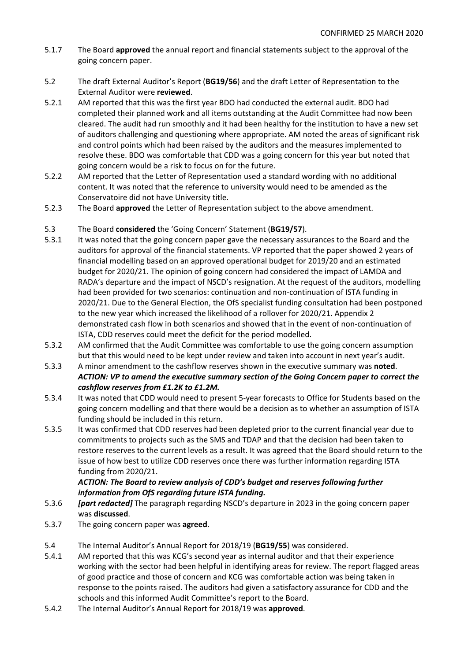- 5.1.7 The Board **approved** the annual report and financial statements subject to the approval of the going concern paper.
- 5.2 The draft External Auditor's Report (**BG19/56**) and the draft Letter of Representation to the External Auditor were **reviewed**.
- 5.2.1 AM reported that this was the first year BDO had conducted the external audit. BDO had completed their planned work and all items outstanding at the Audit Committee had now been cleared. The audit had run smoothly and it had been healthy for the institution to have a new set of auditors challenging and questioning where appropriate. AM noted the areas of significant risk and control points which had been raised by the auditors and the measures implemented to resolve these. BDO was comfortable that CDD was a going concern for this year but noted that going concern would be a risk to focus on for the future.
- 5.2.2 AM reported that the Letter of Representation used a standard wording with no additional content. It was noted that the reference to university would need to be amended as the Conservatoire did not have University title.
- 5.2.3 The Board **approved** the Letter of Representation subject to the above amendment.
- 5.3 The Board **considered** the 'Going Concern' Statement (**BG19/57**).
- 5.3.1 It was noted that the going concern paper gave the necessary assurances to the Board and the auditors for approval of the financial statements. VP reported that the paper showed 2 years of financial modelling based on an approved operational budget for 2019/20 and an estimated budget for 2020/21. The opinion of going concern had considered the impact of LAMDA and RADA's departure and the impact of NSCD's resignation. At the request of the auditors, modelling had been provided for two scenarios: continuation and non-continuation of ISTA funding in 2020/21. Due to the General Election, the OfS specialist funding consultation had been postponed to the new year which increased the likelihood of a rollover for 2020/21. Appendix 2 demonstrated cash flow in both scenarios and showed that in the event of non-continuation of ISTA, CDD reserves could meet the deficit for the period modelled.
- 5.3.2 AM confirmed that the Audit Committee was comfortable to use the going concern assumption but that this would need to be kept under review and taken into account in next year's audit.
- 5.3.3 A minor amendment to the cashflow reserves shown in the executive summary was **noted**. *ACTION: VP to amend the executive summary section of the Going Concern paper to correct the cashflow reserves from £1.2K to £1.2M.*
- 5.3.4 It was noted that CDD would need to present 5-year forecasts to Office for Students based on the going concern modelling and that there would be a decision as to whether an assumption of ISTA funding should be included in this return.
- 5.3.5 It was confirmed that CDD reserves had been depleted prior to the current financial year due to commitments to projects such as the SMS and TDAP and that the decision had been taken to restore reserves to the current levels as a result. It was agreed that the Board should return to the issue of how best to utilize CDD reserves once there was further information regarding ISTA funding from 2020/21.

## *ACTION: The Board to review analysis of CDD's budget and reserves following further information from OfS regarding future ISTA funding.*

- 5.3.6 *[part redacted]* The paragraph regarding NSCD's departure in 2023 in the going concern paper was **discussed**.
- 5.3.7 The going concern paper was **agreed**.
- 5.4 The Internal Auditor's Annual Report for 2018/19 (**BG19/55**) was considered.
- 5.4.1 AM reported that this was KCG's second year as internal auditor and that their experience working with the sector had been helpful in identifying areas for review. The report flagged areas of good practice and those of concern and KCG was comfortable action was being taken in response to the points raised. The auditors had given a satisfactory assurance for CDD and the schools and this informed Audit Committee's report to the Board.
- 5.4.2 The Internal Auditor's Annual Report for 2018/19 was **approved**.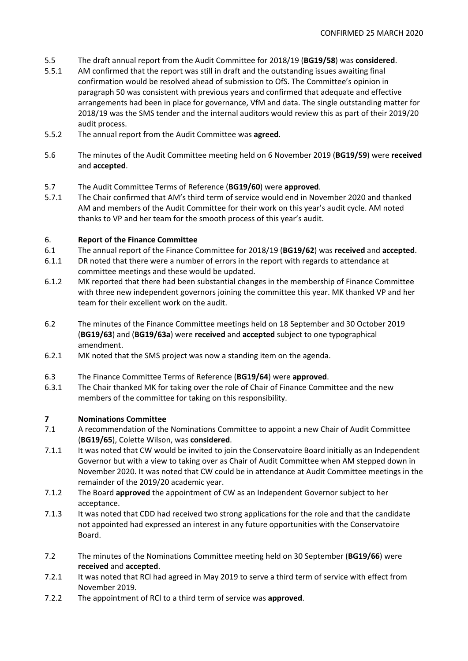- 5.5 The draft annual report from the Audit Committee for 2018/19 (**BG19/58**) was **considered**.
- 5.5.1 AM confirmed that the report was still in draft and the outstanding issues awaiting final confirmation would be resolved ahead of submission to OfS. The Committee's opinion in paragraph 50 was consistent with previous years and confirmed that adequate and effective arrangements had been in place for governance, VfM and data. The single outstanding matter for 2018/19 was the SMS tender and the internal auditors would review this as part of their 2019/20 audit process.
- 5.5.2 The annual report from the Audit Committee was **agreed**.
- 5.6 The minutes of the Audit Committee meeting held on 6 November 2019 (**BG19/59**) were **received** and **accepted**.
- 5.7 The Audit Committee Terms of Reference (**BG19/60**) were **approved**.
- 5.7.1 The Chair confirmed that AM's third term of service would end in November 2020 and thanked AM and members of the Audit Committee for their work on this year's audit cycle. AM noted thanks to VP and her team for the smooth process of this year's audit.

#### 6. **Report of the Finance Committee**

- 6.1 The annual report of the Finance Committee for 2018/19 (**BG19/62**) was **received** and **accepted**.
- 6.1.1 DR noted that there were a number of errors in the report with regards to attendance at committee meetings and these would be updated.
- 6.1.2 MK reported that there had been substantial changes in the membership of Finance Committee with three new independent governors joining the committee this year. MK thanked VP and her team for their excellent work on the audit.
- 6.2 The minutes of the Finance Committee meetings held on 18 September and 30 October 2019 (**BG19/63**) and (**BG19/63a**) were **received** and **accepted** subject to one typographical amendment.
- 6.2.1 MK noted that the SMS project was now a standing item on the agenda.
- 6.3 The Finance Committee Terms of Reference (**BG19/64**) were **approved**.
- 6.3.1 The Chair thanked MK for taking over the role of Chair of Finance Committee and the new members of the committee for taking on this responsibility.

#### **7 Nominations Committee**

- 7.1 A recommendation of the Nominations Committee to appoint a new Chair of Audit Committee (**BG19/65**), Colette Wilson, was **considered**.
- 7.1.1 It was noted that CW would be invited to join the Conservatoire Board initially as an Independent Governor but with a view to taking over as Chair of Audit Committee when AM stepped down in November 2020. It was noted that CW could be in attendance at Audit Committee meetings in the remainder of the 2019/20 academic year.
- 7.1.2 The Board **approved** the appointment of CW as an Independent Governor subject to her acceptance.
- 7.1.3 It was noted that CDD had received two strong applications for the role and that the candidate not appointed had expressed an interest in any future opportunities with the Conservatoire Board.
- 7.2 The minutes of the Nominations Committee meeting held on 30 September (**BG19/66**) were **received** and **accepted**.
- 7.2.1 It was noted that RCl had agreed in May 2019 to serve a third term of service with effect from November 2019.
- 7.2.2 The appointment of RCl to a third term of service was **approved**.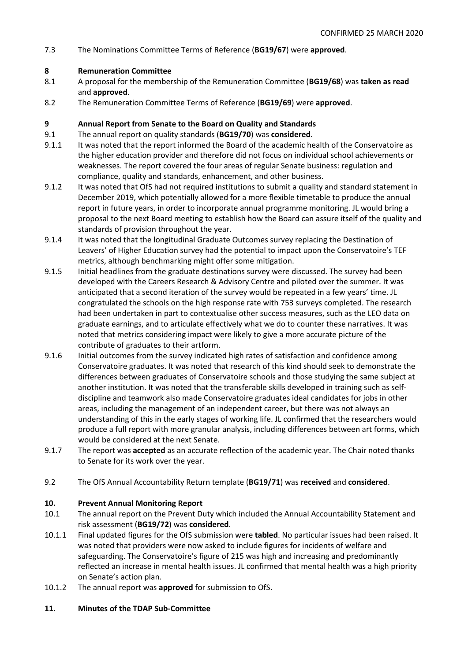7.3 The Nominations Committee Terms of Reference (**BG19/67**) were **approved**.

### **8 Remuneration Committee**

- 8.1 A proposal for the membership of the Remuneration Committee (**BG19/68**) was **taken as read** and **approved**.
- 8.2 The Remuneration Committee Terms of Reference (**BG19/69**) were **approved**.

### **9 Annual Report from Senate to the Board on Quality and Standards**

- 9.1 The annual report on quality standards (**BG19/70**) was **considered**.
- 9.1.1 It was noted that the report informed the Board of the academic health of the Conservatoire as the higher education provider and therefore did not focus on individual school achievements or weaknesses. The report covered the four areas of regular Senate business: regulation and compliance, quality and standards, enhancement, and other business.
- 9.1.2 It was noted that OfS had not required institutions to submit a quality and standard statement in December 2019, which potentially allowed for a more flexible timetable to produce the annual report in future years, in order to incorporate annual programme monitoring. JL would bring a proposal to the next Board meeting to establish how the Board can assure itself of the quality and standards of provision throughout the year.
- 9.1.4 It was noted that the longitudinal Graduate Outcomes survey replacing the Destination of Leavers' of Higher Education survey had the potential to impact upon the Conservatoire's TEF metrics, although benchmarking might offer some mitigation.
- 9.1.5 Initial headlines from the graduate destinations survey were discussed. The survey had been developed with the Careers Research & Advisory Centre and piloted over the summer. It was anticipated that a second iteration of the survey would be repeated in a few years' time. JL congratulated the schools on the high response rate with 753 surveys completed. The research had been undertaken in part to contextualise other success measures, such as the LEO data on graduate earnings, and to articulate effectively what we do to counter these narratives. It was noted that metrics considering impact were likely to give a more accurate picture of the contribute of graduates to their artform.
- 9.1.6 Initial outcomes from the survey indicated high rates of satisfaction and confidence among Conservatoire graduates. It was noted that research of this kind should seek to demonstrate the differences between graduates of Conservatoire schools and those studying the same subject at another institution. It was noted that the transferable skills developed in training such as selfdiscipline and teamwork also made Conservatoire graduates ideal candidates for jobs in other areas, including the management of an independent career, but there was not always an understanding of this in the early stages of working life. JL confirmed that the researchers would produce a full report with more granular analysis, including differences between art forms, which would be considered at the next Senate.
- 9.1.7 The report was **accepted** as an accurate reflection of the academic year. The Chair noted thanks to Senate for its work over the year.
- 9.2 The OfS Annual Accountability Return template (**BG19/71**) was **received** and **considered**.

#### **10. Prevent Annual Monitoring Report**

- 10.1 The annual report on the Prevent Duty which included the Annual Accountability Statement and risk assessment (**BG19/72**) was **considered**.
- 10.1.1 Final updated figures for the OfS submission were **tabled**. No particular issues had been raised. It was noted that providers were now asked to include figures for incidents of welfare and safeguarding. The Conservatoire's figure of 215 was high and increasing and predominantly reflected an increase in mental health issues. JL confirmed that mental health was a high priority on Senate's action plan.
- 10.1.2 The annual report was **approved** for submission to OfS.

# **11. Minutes of the TDAP Sub-Committee**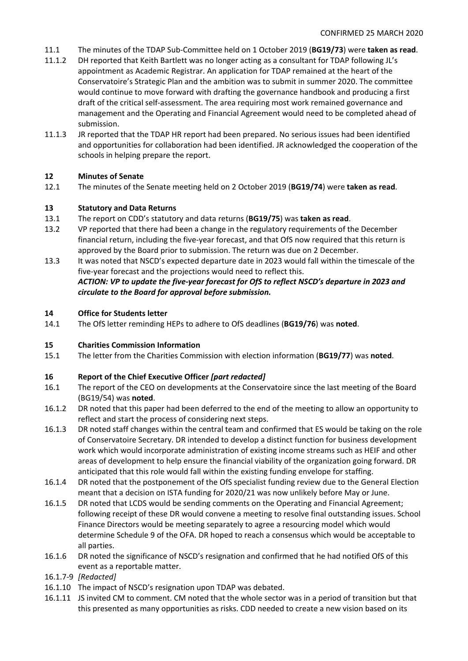- 11.1 The minutes of the TDAP Sub-Committee held on 1 October 2019 (**BG19/73**) were **taken as read**.
- 11.1.2 DH reported that Keith Bartlett was no longer acting as a consultant for TDAP following JL's appointment as Academic Registrar. An application for TDAP remained at the heart of the Conservatoire's Strategic Plan and the ambition was to submit in summer 2020. The committee would continue to move forward with drafting the governance handbook and producing a first draft of the critical self-assessment. The area requiring most work remained governance and management and the Operating and Financial Agreement would need to be completed ahead of submission.
- 11.1.3 JR reported that the TDAP HR report had been prepared. No serious issues had been identified and opportunities for collaboration had been identified. JR acknowledged the cooperation of the schools in helping prepare the report.

# **12 Minutes of Senate**

12.1 The minutes of the Senate meeting held on 2 October 2019 (**BG19/74**) were **taken as read**.

# **13 Statutory and Data Returns**

- 13.1 The report on CDD's statutory and data returns (**BG19/75**) was **taken as read**.
- 13.2 VP reported that there had been a change in the regulatory requirements of the December financial return, including the five-year forecast, and that OfS now required that this return is approved by the Board prior to submission. The return was due on 2 December.
- 13.3 It was noted that NSCD's expected departure date in 2023 would fall within the timescale of the five-year forecast and the projections would need to reflect this. *ACTION: VP to update the five-year forecast for OfS to reflect NSCD's departure in 2023 and circulate to the Board for approval before submission.*

# **14 Office for Students letter**

14.1 The OfS letter reminding HEPs to adhere to OfS deadlines (**BG19/76**) was **noted**.

## **15 Charities Commission Information**

15.1 The letter from the Charities Commission with election information (**BG19/77**) was **noted**.

## **16 Report of the Chief Executive Officer** *[part redacted]*

- 16.1 The report of the CEO on developments at the Conservatoire since the last meeting of the Board (BG19/54) was **noted**.
- 16.1.2 DR noted that this paper had been deferred to the end of the meeting to allow an opportunity to reflect and start the process of considering next steps.
- 16.1.3 DR noted staff changes within the central team and confirmed that ES would be taking on the role of Conservatoire Secretary. DR intended to develop a distinct function for business development work which would incorporate administration of existing income streams such as HEIF and other areas of development to help ensure the financial viability of the organization going forward. DR anticipated that this role would fall within the existing funding envelope for staffing.
- 16.1.4 DR noted that the postponement of the OfS specialist funding review due to the General Election meant that a decision on ISTA funding for 2020/21 was now unlikely before May or June.
- 16.1.5 DR noted that LCDS would be sending comments on the Operating and Financial Agreement; following receipt of these DR would convene a meeting to resolve final outstanding issues. School Finance Directors would be meeting separately to agree a resourcing model which would determine Schedule 9 of the OFA. DR hoped to reach a consensus which would be acceptable to all parties.
- 16.1.6 DR noted the significance of NSCD's resignation and confirmed that he had notified OfS of this event as a reportable matter.
- 16.1.7-9 *[Redacted]*
- 16.1.10 The impact of NSCD's resignation upon TDAP was debated.
- 16.1.11 JS invited CM to comment. CM noted that the whole sector was in a period of transition but that this presented as many opportunities as risks. CDD needed to create a new vision based on its